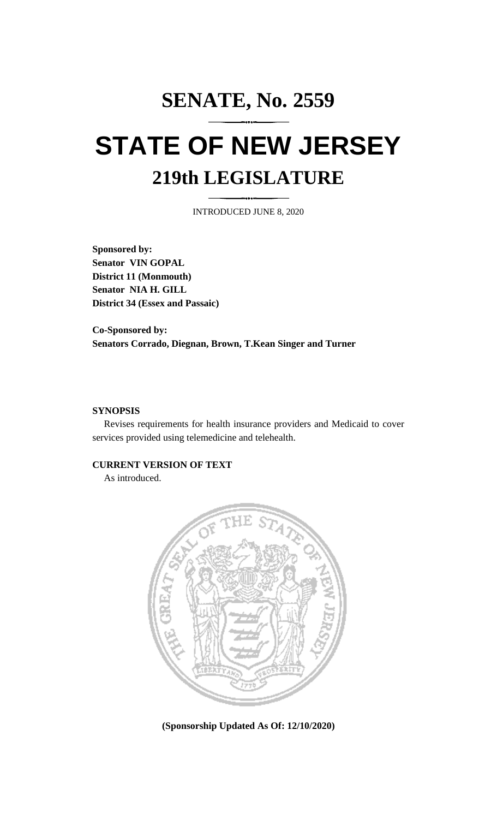# **SENATE, No. 2559 STATE OF NEW JERSEY 219th LEGISLATURE**

INTRODUCED JUNE 8, 2020

**Sponsored by: Senator VIN GOPAL District 11 (Monmouth) Senator NIA H. GILL District 34 (Essex and Passaic)**

**Co-Sponsored by: Senators Corrado, Diegnan, Brown, T.Kean Singer and Turner**

## **SYNOPSIS**

Revises requirements for health insurance providers and Medicaid to cover services provided using telemedicine and telehealth.

## **CURRENT VERSION OF TEXT**

As introduced.



**(Sponsorship Updated As Of: 12/10/2020)**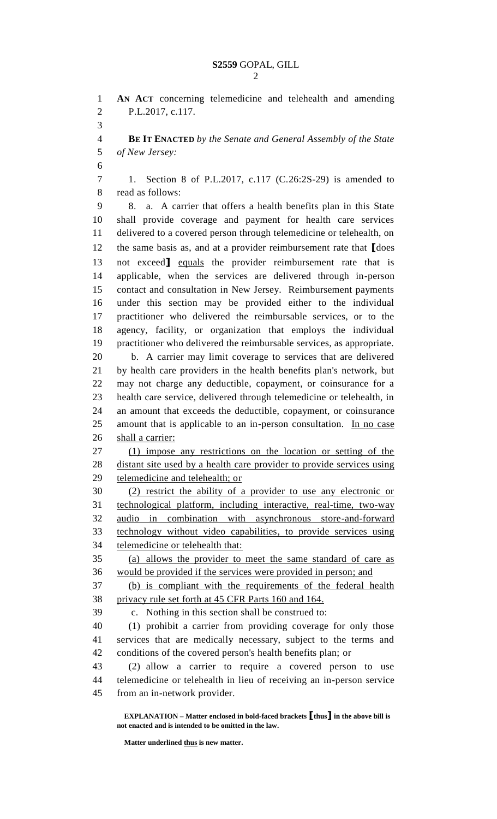**AN ACT** concerning telemedicine and telehealth and amending P.L.2017, c.117. **BE IT ENACTED** *by the Senate and General Assembly of the State of New Jersey:* 1. Section 8 of P.L.2017, c.117 (C.26:2S-29) is amended to read as follows: 8. a. A carrier that offers a health benefits plan in this State shall provide coverage and payment for health care services delivered to a covered person through telemedicine or telehealth, on the same basis as, and at a provider reimbursement rate that **[**does not exceed**]** equals the provider reimbursement rate that is applicable, when the services are delivered through in-person contact and consultation in New Jersey. Reimbursement payments under this section may be provided either to the individual practitioner who delivered the reimbursable services, or to the agency, facility, or organization that employs the individual practitioner who delivered the reimbursable services, as appropriate. b. A carrier may limit coverage to services that are delivered by health care providers in the health benefits plan's network, but may not charge any deductible, copayment, or coinsurance for a health care service, delivered through telemedicine or telehealth, in an amount that exceeds the deductible, copayment, or coinsurance 25 amount that is applicable to an in-person consultation. In no case shall a carrier: (1) impose any restrictions on the location or setting of the 28 distant site used by a health care provider to provide services using telemedicine and telehealth; or (2) restrict the ability of a provider to use any electronic or technological platform, including interactive, real-time, two-way audio in combination with asynchronous store-and-forward technology without video capabilities, to provide services using telemedicine or telehealth that: (a) allows the provider to meet the same standard of care as would be provided if the services were provided in person; and (b) is compliant with the requirements of the federal health privacy rule set forth at 45 CFR Parts 160 and 164. c. Nothing in this section shall be construed to: (1) prohibit a carrier from providing coverage for only those services that are medically necessary, subject to the terms and conditions of the covered person's health benefits plan; or (2) allow a carrier to require a covered person to use telemedicine or telehealth in lieu of receiving an in-person service from an in-network provider.

**EXPLANATION – Matter enclosed in bold-faced brackets [thus] in the above bill is not enacted and is intended to be omitted in the law.**

**Matter underlined thus is new matter.**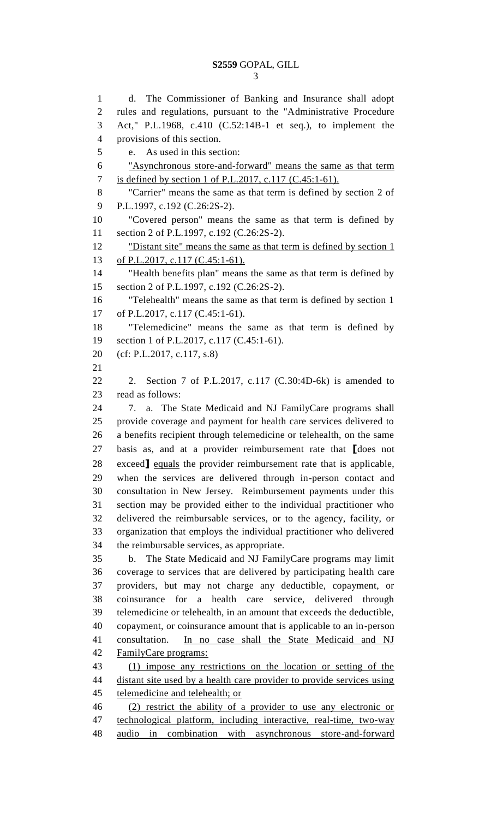d. The Commissioner of Banking and Insurance shall adopt rules and regulations, pursuant to the "Administrative Procedure Act," P.L.1968, c.410 (C.52:14B-1 et seq.), to implement the provisions of this section. e. As used in this section: "Asynchronous store-and-forward" means the same as that term is defined by section 1 of P.L.2017, c.117 (C.45:1-61). "Carrier" means the same as that term is defined by section 2 of P.L.1997, c.192 (C.26:2S-2). "Covered person" means the same as that term is defined by section 2 of P.L.1997, c.192 (C.26:2S-2). 12 "Distant site" means the same as that term is defined by section 1 of P.L.2017, c.117 (C.45:1-61). "Health benefits plan" means the same as that term is defined by section 2 of P.L.1997, c.192 (C.26:2S-2). "Telehealth" means the same as that term is defined by section 1 of P.L.2017, c.117 (C.45:1-61). "Telemedicine" means the same as that term is defined by 19 section 1 of P.L.2017, c.117 (C.45:1-61). (cf: P.L.2017, c.117, s.8) 2. Section 7 of P.L.2017, c.117 (C.30:4D-6k) is amended to read as follows: 7. a. The State Medicaid and NJ FamilyCare programs shall provide coverage and payment for health care services delivered to a benefits recipient through telemedicine or telehealth, on the same basis as, and at a provider reimbursement rate that **[**does not exceed**]** equals the provider reimbursement rate that is applicable, when the services are delivered through in-person contact and consultation in New Jersey. Reimbursement payments under this section may be provided either to the individual practitioner who delivered the reimbursable services, or to the agency, facility, or organization that employs the individual practitioner who delivered the reimbursable services, as appropriate. b. The State Medicaid and NJ FamilyCare programs may limit coverage to services that are delivered by participating health care providers, but may not charge any deductible, copayment, or coinsurance for a health care service, delivered through telemedicine or telehealth, in an amount that exceeds the deductible, copayment, or coinsurance amount that is applicable to an in-person 41 consultation. In no case shall the State Medicaid and NJ FamilyCare programs: (1) impose any restrictions on the location or setting of the 44 distant site used by a health care provider to provide services using 45 telemedicine and telehealth; or (2) restrict the ability of a provider to use any electronic or technological platform, including interactive, real-time, two-way audio in combination with asynchronous store-and-forward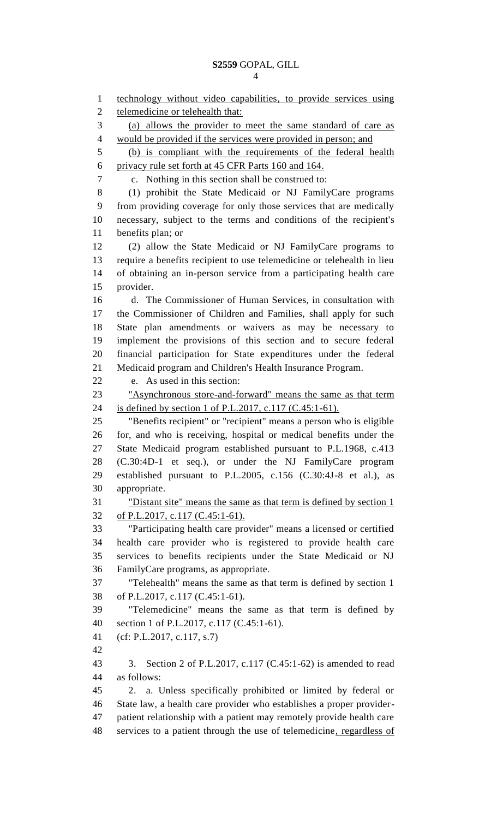technology without video capabilities, to provide services using 2 telemedicine or telehealth that: (a) allows the provider to meet the same standard of care as would be provided if the services were provided in person; and (b) is compliant with the requirements of the federal health privacy rule set forth at 45 CFR Parts 160 and 164. c. Nothing in this section shall be construed to: (1) prohibit the State Medicaid or NJ FamilyCare programs from providing coverage for only those services that are medically necessary, subject to the terms and conditions of the recipient's benefits plan; or (2) allow the State Medicaid or NJ FamilyCare programs to require a benefits recipient to use telemedicine or telehealth in lieu of obtaining an in-person service from a participating health care provider. d. The Commissioner of Human Services, in consultation with the Commissioner of Children and Families, shall apply for such State plan amendments or waivers as may be necessary to implement the provisions of this section and to secure federal financial participation for State expenditures under the federal Medicaid program and Children's Health Insurance Program. e. As used in this section: "Asynchronous store-and-forward" means the same as that term is defined by section 1 of P.L.2017, c.117 (C.45:1-61). "Benefits recipient" or "recipient" means a person who is eligible for, and who is receiving, hospital or medical benefits under the State Medicaid program established pursuant to P.L.1968, c.413 (C.30:4D-1 et seq.), or under the NJ FamilyCare program established pursuant to P.L.2005, c.156 (C.30:4J-8 et al.), as appropriate. "Distant site" means the same as that term is defined by section 1 of P.L.2017, c.117 (C.45:1-61). "Participating health care provider" means a licensed or certified health care provider who is registered to provide health care services to benefits recipients under the State Medicaid or NJ FamilyCare programs, as appropriate. "Telehealth" means the same as that term is defined by section 1 of P.L.2017, c.117 (C.45:1-61). "Telemedicine" means the same as that term is defined by section 1 of P.L.2017, c.117 (C.45:1-61). (cf: P.L.2017, c.117, s.7) 3. Section 2 of P.L.2017, c.117 (C.45:1-62) is amended to read as follows: 2. a. Unless specifically prohibited or limited by federal or State law, a health care provider who establishes a proper provider- patient relationship with a patient may remotely provide health care services to a patient through the use of telemedicine, regardless of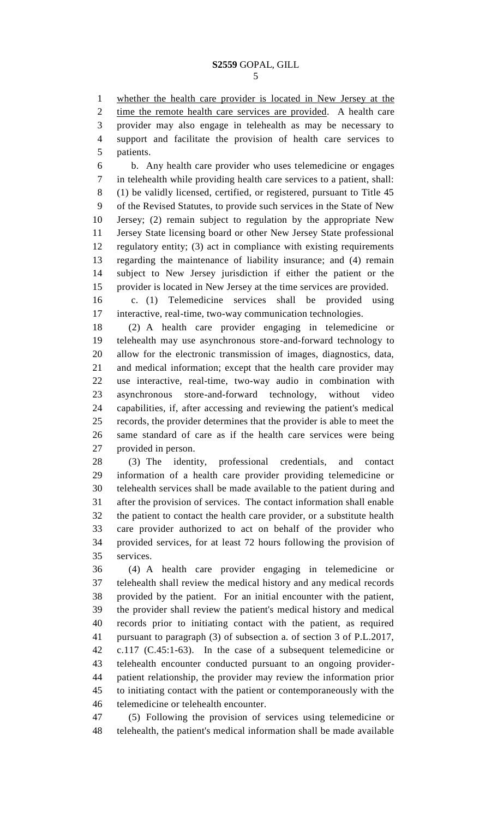whether the health care provider is located in New Jersey at the time the remote health care services are provided. A health care provider may also engage in telehealth as may be necessary to support and facilitate the provision of health care services to patients.

 b. Any health care provider who uses telemedicine or engages in telehealth while providing health care services to a patient, shall: (1) be validly licensed, certified, or registered, pursuant to Title 45 of the Revised Statutes, to provide such services in the State of New Jersey; (2) remain subject to regulation by the appropriate New Jersey State licensing board or other New Jersey State professional regulatory entity; (3) act in compliance with existing requirements regarding the maintenance of liability insurance; and (4) remain subject to New Jersey jurisdiction if either the patient or the provider is located in New Jersey at the time services are provided.

 c. (1) Telemedicine services shall be provided using interactive, real-time, two-way communication technologies.

 (2) A health care provider engaging in telemedicine or telehealth may use asynchronous store-and-forward technology to allow for the electronic transmission of images, diagnostics, data, and medical information; except that the health care provider may use interactive, real-time, two-way audio in combination with asynchronous store-and-forward technology, without video capabilities, if, after accessing and reviewing the patient's medical records, the provider determines that the provider is able to meet the same standard of care as if the health care services were being provided in person.

 (3) The identity, professional credentials, and contact information of a health care provider providing telemedicine or telehealth services shall be made available to the patient during and after the provision of services. The contact information shall enable the patient to contact the health care provider, or a substitute health care provider authorized to act on behalf of the provider who provided services, for at least 72 hours following the provision of services.

 (4) A health care provider engaging in telemedicine or telehealth shall review the medical history and any medical records provided by the patient. For an initial encounter with the patient, the provider shall review the patient's medical history and medical records prior to initiating contact with the patient, as required pursuant to paragraph (3) of subsection a. of section 3 of P.L.2017, c.117 (C.45:1-63). In the case of a subsequent telemedicine or telehealth encounter conducted pursuant to an ongoing provider- patient relationship, the provider may review the information prior to initiating contact with the patient or contemporaneously with the telemedicine or telehealth encounter.

 (5) Following the provision of services using telemedicine or telehealth, the patient's medical information shall be made available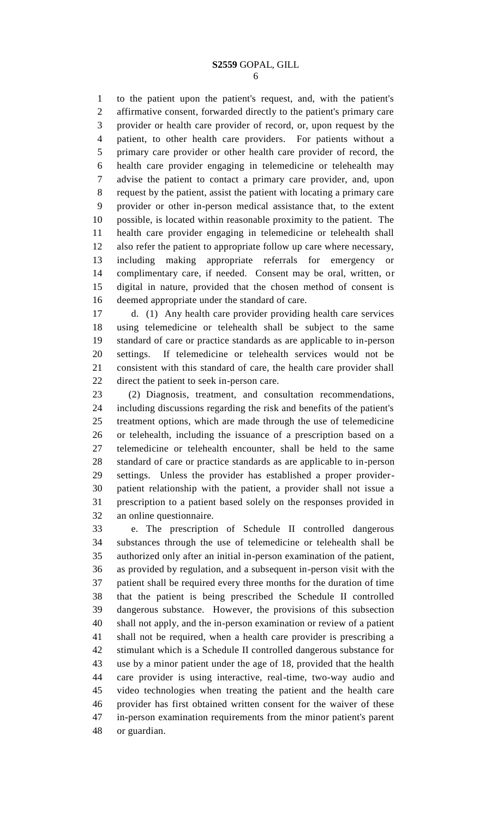to the patient upon the patient's request, and, with the patient's affirmative consent, forwarded directly to the patient's primary care provider or health care provider of record, or, upon request by the patient, to other health care providers. For patients without a primary care provider or other health care provider of record, the health care provider engaging in telemedicine or telehealth may advise the patient to contact a primary care provider, and, upon request by the patient, assist the patient with locating a primary care provider or other in-person medical assistance that, to the extent possible, is located within reasonable proximity to the patient. The health care provider engaging in telemedicine or telehealth shall also refer the patient to appropriate follow up care where necessary, including making appropriate referrals for emergency or complimentary care, if needed. Consent may be oral, written, or digital in nature, provided that the chosen method of consent is deemed appropriate under the standard of care.

 d. (1) Any health care provider providing health care services using telemedicine or telehealth shall be subject to the same standard of care or practice standards as are applicable to in-person settings. If telemedicine or telehealth services would not be consistent with this standard of care, the health care provider shall direct the patient to seek in-person care.

 (2) Diagnosis, treatment, and consultation recommendations, including discussions regarding the risk and benefits of the patient's treatment options, which are made through the use of telemedicine or telehealth, including the issuance of a prescription based on a telemedicine or telehealth encounter, shall be held to the same standard of care or practice standards as are applicable to in-person settings. Unless the provider has established a proper provider- patient relationship with the patient, a provider shall not issue a prescription to a patient based solely on the responses provided in an online questionnaire.

 e. The prescription of Schedule II controlled dangerous substances through the use of telemedicine or telehealth shall be authorized only after an initial in-person examination of the patient, as provided by regulation, and a subsequent in-person visit with the patient shall be required every three months for the duration of time that the patient is being prescribed the Schedule II controlled dangerous substance. However, the provisions of this subsection shall not apply, and the in-person examination or review of a patient shall not be required, when a health care provider is prescribing a stimulant which is a Schedule II controlled dangerous substance for use by a minor patient under the age of 18, provided that the health care provider is using interactive, real-time, two-way audio and video technologies when treating the patient and the health care provider has first obtained written consent for the waiver of these in-person examination requirements from the minor patient's parent or guardian.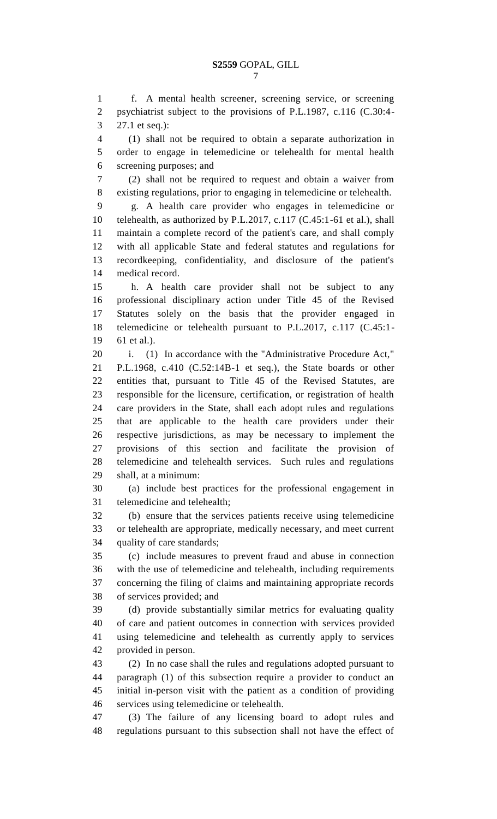f. A mental health screener, screening service, or screening psychiatrist subject to the provisions of P.L.1987, c.116 (C.30:4- 27.1 et seq.):

 (1) shall not be required to obtain a separate authorization in order to engage in telemedicine or telehealth for mental health screening purposes; and

 (2) shall not be required to request and obtain a waiver from existing regulations, prior to engaging in telemedicine or telehealth.

 g. A health care provider who engages in telemedicine or telehealth, as authorized by P.L.2017, c.117 (C.45:1-61 et al.), shall maintain a complete record of the patient's care, and shall comply with all applicable State and federal statutes and regulations for recordkeeping, confidentiality, and disclosure of the patient's medical record.

 h. A health care provider shall not be subject to any professional disciplinary action under Title 45 of the Revised Statutes solely on the basis that the provider engaged in telemedicine or telehealth pursuant to P.L.2017, c.117 (C.45:1- 61 et al.).

i. (1) In accordance with the "Administrative Procedure Act,"

 P.L.1968, c.410 (C.52:14B-1 et seq.), the State boards or other entities that, pursuant to Title 45 of the Revised Statutes, are responsible for the licensure, certification, or registration of health care providers in the State, shall each adopt rules and regulations that are applicable to the health care providers under their respective jurisdictions, as may be necessary to implement the provisions of this section and facilitate the provision of telemedicine and telehealth services. Such rules and regulations shall, at a minimum:

 (a) include best practices for the professional engagement in telemedicine and telehealth;

 (b) ensure that the services patients receive using telemedicine or telehealth are appropriate, medically necessary, and meet current quality of care standards;

 (c) include measures to prevent fraud and abuse in connection with the use of telemedicine and telehealth, including requirements concerning the filing of claims and maintaining appropriate records of services provided; and

 (d) provide substantially similar metrics for evaluating quality of care and patient outcomes in connection with services provided using telemedicine and telehealth as currently apply to services provided in person.

 (2) In no case shall the rules and regulations adopted pursuant to paragraph (1) of this subsection require a provider to conduct an initial in-person visit with the patient as a condition of providing services using telemedicine or telehealth.

 (3) The failure of any licensing board to adopt rules and regulations pursuant to this subsection shall not have the effect of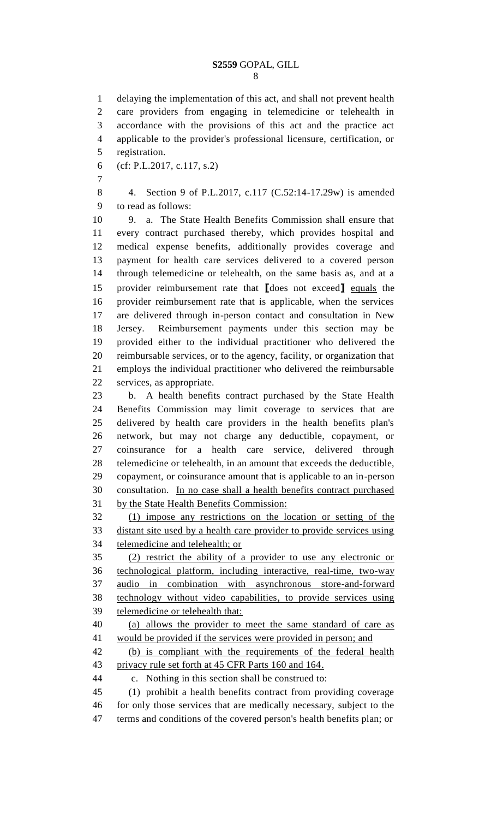#### **S2559** GOPAL, GILL

 delaying the implementation of this act, and shall not prevent health care providers from engaging in telemedicine or telehealth in accordance with the provisions of this act and the practice act applicable to the provider's professional licensure, certification, or registration. (cf: P.L.2017, c.117, s.2) 4. Section 9 of P.L.2017, c.117 (C.52:14-17.29w) is amended to read as follows: 9. a. The State Health Benefits Commission shall ensure that every contract purchased thereby, which provides hospital and medical expense benefits, additionally provides coverage and payment for health care services delivered to a covered person through telemedicine or telehealth, on the same basis as, and at a provider reimbursement rate that **[**does not exceed**]** equals the provider reimbursement rate that is applicable, when the services are delivered through in-person contact and consultation in New Jersey. Reimbursement payments under this section may be provided either to the individual practitioner who delivered the reimbursable services, or to the agency, facility, or organization that employs the individual practitioner who delivered the reimbursable services, as appropriate. b. A health benefits contract purchased by the State Health Benefits Commission may limit coverage to services that are delivered by health care providers in the health benefits plan's network, but may not charge any deductible, copayment, or coinsurance for a health care service, delivered through telemedicine or telehealth, in an amount that exceeds the deductible, copayment, or coinsurance amount that is applicable to an in-person consultation. In no case shall a health benefits contract purchased by the State Health Benefits Commission: (1) impose any restrictions on the location or setting of the distant site used by a health care provider to provide services using telemedicine and telehealth; or (2) restrict the ability of a provider to use any electronic or technological platform, including interactive, real-time, two-way audio in combination with asynchronous store-and-forward technology without video capabilities, to provide services using telemedicine or telehealth that: (a) allows the provider to meet the same standard of care as would be provided if the services were provided in person; and (b) is compliant with the requirements of the federal health privacy rule set forth at 45 CFR Parts 160 and 164. c. Nothing in this section shall be construed to: (1) prohibit a health benefits contract from providing coverage for only those services that are medically necessary, subject to the terms and conditions of the covered person's health benefits plan; or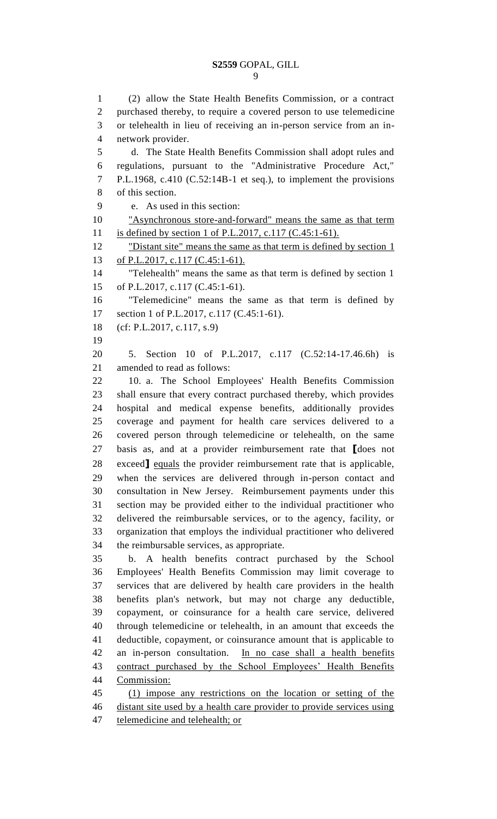## **S2559** GOPAL, GILL

 (2) allow the State Health Benefits Commission, or a contract purchased thereby, to require a covered person to use telemedicine or telehealth in lieu of receiving an in-person service from an in- network provider. d. The State Health Benefits Commission shall adopt rules and regulations, pursuant to the "Administrative Procedure Act," P.L.1968, c.410 (C.52:14B-1 et seq.), to implement the provisions of this section. e. As used in this section: "Asynchronous store-and-forward" means the same as that term is defined by section 1 of P.L.2017, c.117 (C.45:1-61). 12 "Distant site" means the same as that term is defined by section 1 of P.L.2017, c.117 (C.45:1-61). "Telehealth" means the same as that term is defined by section 1 of P.L.2017, c.117 (C.45:1-61). "Telemedicine" means the same as that term is defined by 17 section 1 of P.L.2017, c.117 (C.45:1-61). (cf: P.L.2017, c.117, s.9) 5. Section 10 of P.L.2017, c.117 (C.52:14-17.46.6h) is amended to read as follows: 10. a. The School Employees' Health Benefits Commission shall ensure that every contract purchased thereby, which provides hospital and medical expense benefits, additionally provides coverage and payment for health care services delivered to a covered person through telemedicine or telehealth, on the same basis as, and at a provider reimbursement rate that **[**does not exceed**]** equals the provider reimbursement rate that is applicable, when the services are delivered through in-person contact and consultation in New Jersey. Reimbursement payments under this section may be provided either to the individual practitioner who delivered the reimbursable services, or to the agency, facility, or organization that employs the individual practitioner who delivered the reimbursable services, as appropriate. b. A health benefits contract purchased by the School Employees' Health Benefits Commission may limit coverage to services that are delivered by health care providers in the health benefits plan's network, but may not charge any deductible, copayment, or coinsurance for a health care service, delivered through telemedicine or telehealth, in an amount that exceeds the deductible, copayment, or coinsurance amount that is applicable to an in-person consultation. In no case shall a health benefits contract purchased by the School Employees' Health Benefits Commission: (1) impose any restrictions on the location or setting of the distant site used by a health care provider to provide services using telemedicine and telehealth; or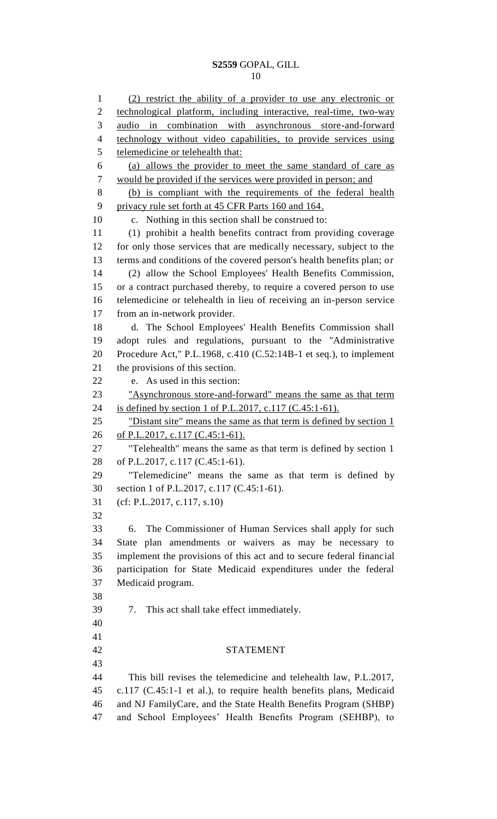### **S2559** GOPAL, GILL

 (2) restrict the ability of a provider to use any electronic or technological platform, including interactive, real-time, two-way audio in combination with asynchronous store-and-forward technology without video capabilities, to provide services using telemedicine or telehealth that: (a) allows the provider to meet the same standard of care as would be provided if the services were provided in person; and (b) is compliant with the requirements of the federal health privacy rule set forth at 45 CFR Parts 160 and 164. c. Nothing in this section shall be construed to: (1) prohibit a health benefits contract from providing coverage for only those services that are medically necessary, subject to the terms and conditions of the covered person's health benefits plan; or (2) allow the School Employees' Health Benefits Commission, or a contract purchased thereby, to require a covered person to use telemedicine or telehealth in lieu of receiving an in-person service from an in-network provider. d. The School Employees' Health Benefits Commission shall adopt rules and regulations, pursuant to the "Administrative Procedure Act," P.L.1968, c.410 (C.52:14B-1 et seq.), to implement the provisions of this section. e. As used in this section: "Asynchronous store-and-forward" means the same as that term is defined by section 1 of P.L.2017, c.117 (C.45:1-61). 25 "Distant site" means the same as that term is defined by section 1 26 of P.L.2017, c.117 (C.45:1-61). "Telehealth" means the same as that term is defined by section 1 of P.L.2017, c.117 (C.45:1-61). "Telemedicine" means the same as that term is defined by section 1 of P.L.2017, c.117 (C.45:1-61). (cf: P.L.2017, c.117, s.10) 6. The Commissioner of Human Services shall apply for such State plan amendments or waivers as may be necessary to implement the provisions of this act and to secure federal financial participation for State Medicaid expenditures under the federal Medicaid program. 7. This act shall take effect immediately. STATEMENT This bill revises the telemedicine and telehealth law, P.L.2017, c.117 (C.45:1-1 et al.), to require health benefits plans, Medicaid and NJ FamilyCare, and the State Health Benefits Program (SHBP) and School Employees' Health Benefits Program (SEHBP), to